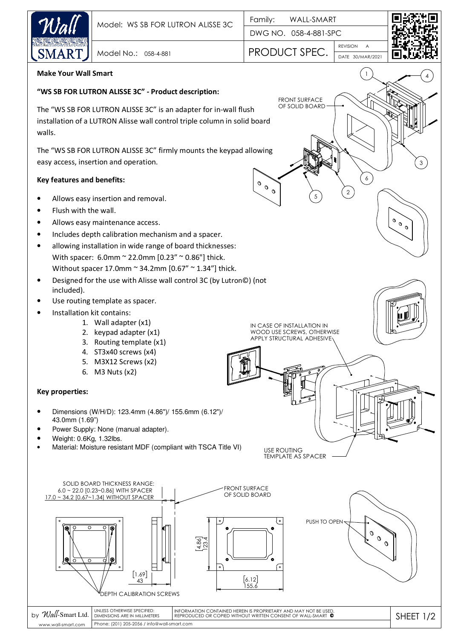

| Wall-Smart Ltd.    | UNLESS OTHERWISE SPECIFIED:                 | I information contained herein is proprietary and may not be used.          |  |
|--------------------|---------------------------------------------|-----------------------------------------------------------------------------|--|
| b٧                 | <b>DIMENSIONS ARE IN MILLIMETERS</b>        | I reproduced or copied without written consent of wall-smart $\,^{\circ}\,$ |  |
| www.wall-smart.com | Phone: (201) 205-2056 / info@wall-smart.com |                                                                             |  |